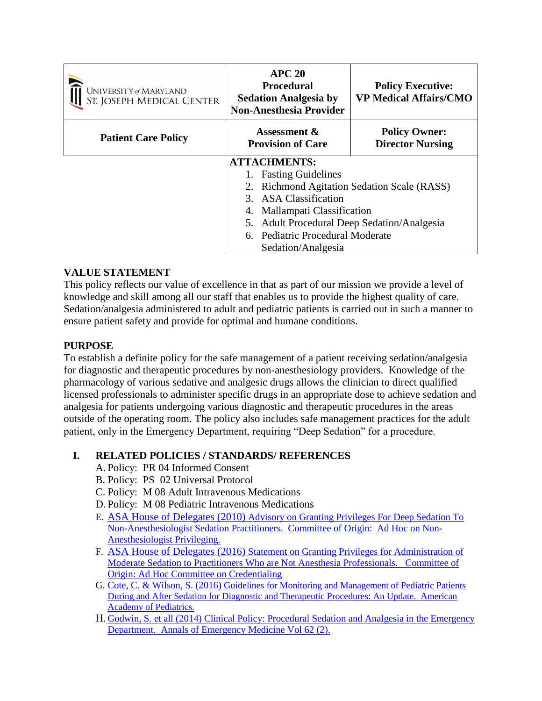| UNIVERSITY of MARYLAND<br>ST. JOSEPH MEDICAL CENTER | <b>APC 20</b><br><b>Procedural</b><br><b>Sedation Analgesia by</b><br><b>Non-Anesthesia Provider</b> | <b>Policy Executive:</b><br><b>VP Medical Affairs/CMO</b> |  |
|-----------------------------------------------------|------------------------------------------------------------------------------------------------------|-----------------------------------------------------------|--|
| <b>Patient Care Policy</b>                          | <b>Assessment &amp;</b><br><b>Provision of Care</b>                                                  | <b>Policy Owner:</b><br><b>Director Nursing</b>           |  |
|                                                     | <b>ATTACHMENTS:</b>                                                                                  |                                                           |  |
|                                                     | 1. Fasting Guidelines                                                                                |                                                           |  |
|                                                     | 2. Richmond Agitation Sedation Scale (RASS)                                                          |                                                           |  |
|                                                     | 3. ASA Classification                                                                                |                                                           |  |
|                                                     | 4. Mallampati Classification                                                                         |                                                           |  |
|                                                     | 5. Adult Procedural Deep Sedation/Analgesia                                                          |                                                           |  |
|                                                     | 6. Pediatric Procedural Moderate                                                                     |                                                           |  |
|                                                     | Sedation/Analgesia                                                                                   |                                                           |  |

#### **VALUE STATEMENT**

This policy reflects our value of excellence in that as part of our mission we provide a level of knowledge and skill among all our staff that enables us to provide the highest quality of care. Sedation/analgesia administered to adult and pediatric patients is carried out in such a manner to ensure patient safety and provide for optimal and humane conditions.

### **PURPOSE**

To establish a definite policy for the safe management of a patient receiving sedation/analgesia for diagnostic and therapeutic procedures by non-anesthesiology providers. Knowledge of the pharmacology of various sedative and analgesic drugs allows the clinician to direct qualified licensed professionals to administer specific drugs in an appropriate dose to achieve sedation and analgesia for patients undergoing various diagnostic and therapeutic procedures in the areas outside of the operating room. The policy also includes safe management practices for the adult patient, only in the Emergency Department, requiring "Deep Sedation" for a procedure.

#### **I. RELATED POLICIES / STANDARDS/ REFERENCES**

- A. Policy: PR 04 Informed Consent
- B. Policy: PS 02 Universal Protocol
- C. Policy: M 08 Adult Intravenous Medications
- D. Policy: M 08 Pediatric Intravenous Medication[s](http://www.google.com/url?url=http://www.asahq.org/~/media/Sites/ASAHQ/Files/Public/Resources/standards-guidelines/advisory-on-granting-privileges-for-deep-sedation-to-non-anesthesiologist.pdf&rct=j&frm=1&q=&esrc=s&sa=U&ved=0ahUKEwjpx7b23dvSAhVP2GMKHakmBqMQFggUMAA&usg=AFQjCNHJaOU08Qaifhzp0OGWt-kgeD649A)
- E. ASA House of Delegates (2010) [Advisory on Granting Privileges For Deep Sedation To](http://www.google.com/url?url=http://www.asahq.org/~/media/Sites/ASAHQ/Files/Public/Resources/standards-guidelines/advisory-on-granting-privileges-for-deep-sedation-to-non-anesthesiologist.pdf&rct=j&frm=1&q=&esrc=s&sa=U&ved=0ahUKEwjpx7b23dvSAhVP2GMKHakmBqMQFggUMAA&usg=AFQjCNHJaOU08Qaifhzp0OGWt-kgeD649A)  [Non-Anesthesiologist Sedation Practitioners. Committee of Origin: Ad Hoc on Non-](http://www.google.com/url?url=http://www.asahq.org/~/media/Sites/ASAHQ/Files/Public/Resources/standards-guidelines/advisory-on-granting-privileges-for-deep-sedation-to-non-anesthesiologist.pdf&rct=j&frm=1&q=&esrc=s&sa=U&ved=0ahUKEwjpx7b23dvSAhVP2GMKHakmBqMQFggUMAA&usg=AFQjCNHJaOU08Qaifhzp0OGWt-kgeD649A)[Anesthesiologist Privileging.](http://www.google.com/url?url=http://www.asahq.org/~/media/Sites/ASAHQ/Files/Public/Resources/standards-guidelines/advisory-on-granting-privileges-for-deep-sedation-to-non-anesthesiologist.pdf&rct=j&frm=1&q=&esrc=s&sa=U&ved=0ahUKEwjpx7b23dvSAhVP2GMKHakmBqMQFggUMAA&usg=AFQjCNHJaOU08Qaifhzp0OGWt-kgeD649A)
- F. ASA House of Delegates (2016) [Statement on Granting Privileges for Administration of](http://www.google.com/url?url=http://www.asahq.org/~/media/Sites/ASAHQ/Files/Public/Resources/standards-guidelines/statement-on-granting-privileges-for-administration-of-moderate-sedation-to-practitioners.pdf&rct=j&frm=1&q=&esrc=s&sa=U&ved=0ahUKEwir9ur83tvSAhVFVWMKHQ5rCTMQFggUMAA&usg=AFQjCNFFa_uNFNTVEj24WPDSJsfLI5O4QA)  [Moderate Sedation to Practitioners Who are Not Anesthesia Professionals. Committee of](http://www.google.com/url?url=http://www.asahq.org/~/media/Sites/ASAHQ/Files/Public/Resources/standards-guidelines/statement-on-granting-privileges-for-administration-of-moderate-sedation-to-practitioners.pdf&rct=j&frm=1&q=&esrc=s&sa=U&ved=0ahUKEwir9ur83tvSAhVFVWMKHQ5rCTMQFggUMAA&usg=AFQjCNFFa_uNFNTVEj24WPDSJsfLI5O4QA)  [Origin: Ad Hoc Committee on Credentialing](http://www.google.com/url?url=http://www.asahq.org/~/media/Sites/ASAHQ/Files/Public/Resources/standards-guidelines/statement-on-granting-privileges-for-administration-of-moderate-sedation-to-practitioners.pdf&rct=j&frm=1&q=&esrc=s&sa=U&ved=0ahUKEwir9ur83tvSAhVFVWMKHQ5rCTMQFggUMAA&usg=AFQjCNFFa_uNFNTVEj24WPDSJsfLI5O4QA)
- G. Cote, C. & Wilson, S. (2016) [Guidelines for Monitoring and Management of Pediatric Patients](http://pediatrics.aappublications.org/content/118/6/2587.short)  During [and After Sedation for Diagnostic and Therapeutic Procedures: An Update. American](http://pediatrics.aappublications.org/content/118/6/2587.short)  [Academy of Pediatrics.](http://pediatrics.aappublications.org/content/118/6/2587.short)
- H. [Godwin, S. et all \(2014\) Clinical Policy: Procedural Sedation and Analgesia in the Emergency](http://emupdates.com/perm/FastingPapers/Godwin%202014%20ACEP%20Clinical%20Policy%20Procedural%20Sedation%20-%20AnnEM.pdf)  [Department. Annals of Emergency Medicine Vol 62 \(2\).](http://emupdates.com/perm/FastingPapers/Godwin%202014%20ACEP%20Clinical%20Policy%20Procedural%20Sedation%20-%20AnnEM.pdf)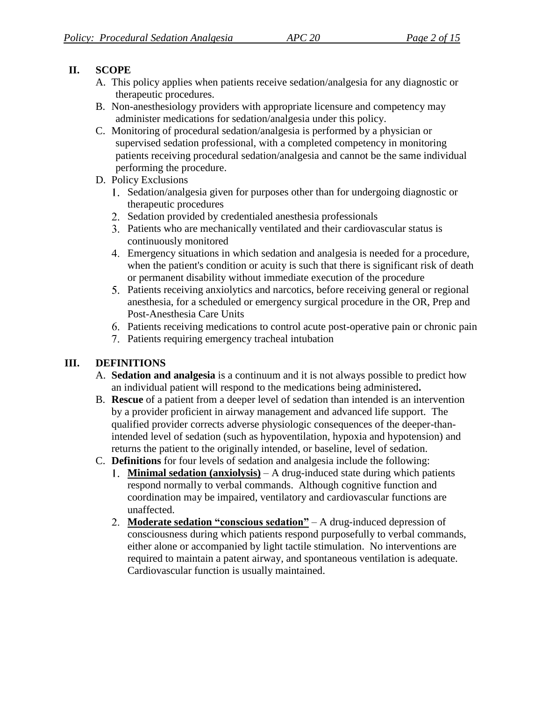### **II. SCOPE**

- A. This policy applies when patients receive sedation/analgesia for any diagnostic or therapeutic procedures.
- B. Non-anesthesiology providers with appropriate licensure and competency may administer medications for sedation/analgesia under this policy.
- C. Monitoring of procedural sedation/analgesia is performed by a physician or supervised sedation professional, with a completed competency in monitoring patients receiving procedural sedation/analgesia and cannot be the same individual performing the procedure.
- D. Policy Exclusions
	- Sedation/analgesia given for purposes other than for undergoing diagnostic or therapeutic procedures
	- 2. Sedation provided by credentialed anesthesia professionals
	- Patients who are mechanically ventilated and their cardiovascular status is continuously monitored
	- Emergency situations in which sedation and analgesia is needed for a procedure, when the patient's condition or acuity is such that there is significant risk of death or permanent disability without immediate execution of the procedure
	- Patients receiving anxiolytics and narcotics, before receiving general or regional anesthesia, for a scheduled or emergency surgical procedure in the OR, Prep and Post-Anesthesia Care Units
	- Patients receiving medications to control acute post-operative pain or chronic pain
	- Patients requiring emergency tracheal intubation

## **III. DEFINITIONS**

- A. **Sedation and analgesia** is a continuum and it is not always possible to predict how an individual patient will respond to the medications being administered**.**
- B. **Rescue** of a patient from a deeper level of sedation than intended is an intervention by a provider proficient in airway management and advanced life support. The qualified provider corrects adverse physiologic consequences of the deeper-thanintended level of sedation (such as hypoventilation, hypoxia and hypotension) and returns the patient to the originally intended, or baseline, level of sedation.
- C. **Definitions** for four levels of sedation and analgesia include the following:
	- **Minimal sedation (anxiolysis)** A drug-induced state during which patients respond normally to verbal commands. Although cognitive function and coordination may be impaired, ventilatory and cardiovascular functions are unaffected.
	- **Moderate sedation "conscious sedation"** A drug-induced depression of consciousness during which patients respond purposefully to verbal commands, either alone or accompanied by light tactile stimulation. No interventions are required to maintain a patent airway, and spontaneous ventilation is adequate. Cardiovascular function is usually maintained.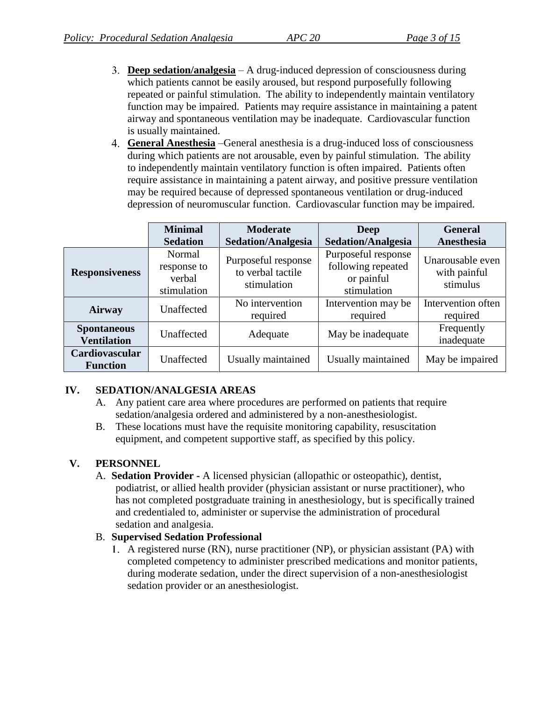- **Deep sedation/analgesia** A drug-induced depression of consciousness during which patients cannot be easily aroused, but respond purposefully following repeated or painful stimulation. The ability to independently maintain ventilatory function may be impaired. Patients may require assistance in maintaining a patent airway and spontaneous ventilation may be inadequate. Cardiovascular function is usually maintained.
- **General Anesthesia** –General anesthesia is a drug-induced loss of consciousness during which patients are not arousable, even by painful stimulation. The ability to independently maintain ventilatory function is often impaired. Patients often require assistance in maintaining a patent airway, and positive pressure ventilation may be required because of depressed spontaneous ventilation or drug-induced depression of neuromuscular function. Cardiovascular function may be impaired.

|                                          | <b>Minimal</b><br><b>Sedation</b>              | <b>Moderate</b><br><b>Sedation/Analgesia</b>            | <b>Deep</b><br><b>Sedation/Analgesia</b>                               | <b>General</b><br>Anesthesia                 |
|------------------------------------------|------------------------------------------------|---------------------------------------------------------|------------------------------------------------------------------------|----------------------------------------------|
| <b>Responsiveness</b>                    | Normal<br>response to<br>verbal<br>stimulation | Purposeful response<br>to verbal tactile<br>stimulation | Purposeful response<br>following repeated<br>or painful<br>stimulation | Unarousable even<br>with painful<br>stimulus |
| Airway                                   | Unaffected                                     | No intervention<br>required                             | Intervention may be<br>required                                        | Intervention often<br>required               |
| <b>Spontaneous</b><br><b>Ventilation</b> | Unaffected                                     | Adequate                                                | May be inadequate                                                      | Frequently<br>inadequate                     |
| Cardiovascular<br><b>Function</b>        | Unaffected                                     | Usually maintained                                      | Usually maintained                                                     | May be impaired                              |

#### **IV. SEDATION/ANALGESIA AREAS**

- A. Any patient care area where procedures are performed on patients that require sedation/analgesia ordered and administered by a non-anesthesiologist.
- B. These locations must have the requisite monitoring capability, resuscitation equipment, and competent supportive staff, as specified by this policy.

#### **V. PERSONNEL**

A. **Sedation Provider -** A licensed physician (allopathic or osteopathic), dentist, podiatrist, or allied health provider (physician assistant or nurse practitioner), who has not completed postgraduate training in anesthesiology, but is specifically trained and credentialed to, administer or supervise the administration of procedural sedation and analgesia.

#### B. **Supervised Sedation Professional**

A registered nurse (RN), nurse practitioner (NP), or physician assistant (PA) with completed competency to administer prescribed medications and monitor patients, during moderate sedation, under the direct supervision of a non-anesthesiologist sedation provider or an anesthesiologist.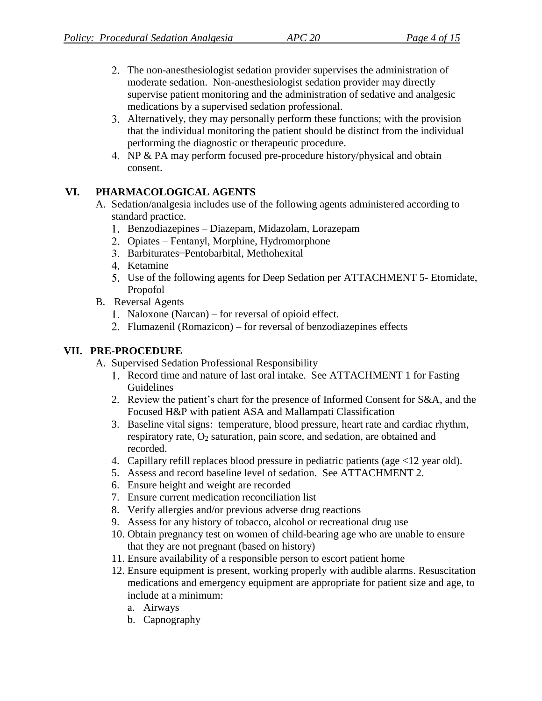- The non-anesthesiologist sedation provider supervises the administration of moderate sedation. Non-anesthesiologist sedation provider may directly supervise patient monitoring and the administration of sedative and analgesic medications by a supervised sedation professional.
- Alternatively, they may personally perform these functions; with the provision that the individual monitoring the patient should be distinct from the individual performing the diagnostic or therapeutic procedure.
- 4. NP & PA may perform focused pre-procedure history/physical and obtain consent.

#### **VI. PHARMACOLOGICAL AGENTS**

- A. Sedation/analgesia includes use of the following agents administered according to standard practice.
	- Benzodiazepines Diazepam, Midazolam, Lorazepam
	- 2. Opiates Fentanyl, Morphine, Hydromorphone
	- 3. Barbiturates-Pentobarbital, Methohexital
	- 4. Ketamine
	- Use of the following agents for Deep Sedation per ATTACHMENT 5- Etomidate, Propofol
- B. Reversal Agents
	- 1. Naloxone (Narcan) for reversal of opioid effect.
	- Flumazenil (Romazicon) for reversal of benzodiazepines effects

## **VII. PRE-PROCEDURE**

- A. Supervised Sedation Professional Responsibility
	- Record time and nature of last oral intake. See ATTACHMENT 1 for Fasting Guidelines
	- 2. Review the patient's chart for the presence of Informed Consent for S&A, and the Focused H&P with patient ASA and Mallampati Classification
	- 3. Baseline vital signs: temperature, blood pressure, heart rate and cardiac rhythm, respiratory rate,  $O_2$  saturation, pain score, and sedation, are obtained and recorded.
	- 4. Capillary refill replaces blood pressure in pediatric patients (age <12 year old).
	- 5. Assess and record baseline level of sedation. See ATTACHMENT 2.
	- 6. Ensure height and weight are recorded
	- 7. Ensure current medication reconciliation list
	- 8. Verify allergies and/or previous adverse drug reactions
	- 9. Assess for any history of tobacco, alcohol or recreational drug use
	- 10. Obtain pregnancy test on women of child-bearing age who are unable to ensure that they are not pregnant (based on history)
	- 11. Ensure availability of a responsible person to escort patient home
	- 12. Ensure equipment is present, working properly with audible alarms. Resuscitation medications and emergency equipment are appropriate for patient size and age, to include at a minimum:
		- a. Airways
		- b. Capnography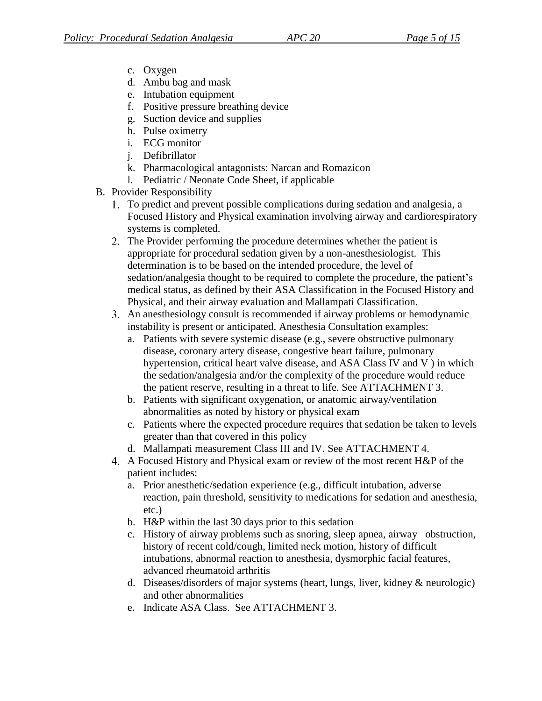- c. Oxygen
- d. Ambu bag and mask
- e. Intubation equipment
- f. Positive pressure breathing device
- g. Suction device and supplies
- h. Pulse oximetry
- i. ECG monitor
- j. Defibrillator
- k. Pharmacological antagonists: Narcan and Romazicon
- l. Pediatric / Neonate Code Sheet, if applicable
- B. Provider Responsibility
	- To predict and prevent possible complications during sedation and analgesia, a Focused History and Physical examination involving airway and cardiorespiratory systems is completed.
	- 2. The Provider performing the procedure determines whether the patient is appropriate for procedural sedation given by a non-anesthesiologist. This determination is to be based on the intended procedure, the level of sedation/analgesia thought to be required to complete the procedure, the patient's medical status, as defined by their ASA Classification in the Focused History and Physical, and their airway evaluation and Mallampati Classification.
	- An anesthesiology consult is recommended if airway problems or hemodynamic instability is present or anticipated. Anesthesia Consultation examples:
		- a. Patients with severe systemic disease (e.g., severe obstructive pulmonary disease, coronary artery disease, congestive heart failure, pulmonary hypertension, critical heart valve disease, and ASA Class IV and V ) in which the sedation/analgesia and/or the complexity of the procedure would reduce the patient reserve, resulting in a threat to life. See ATTACHMENT 3.
		- b. Patients with significant oxygenation, or anatomic airway/ventilation abnormalities as noted by history or physical exam
		- c. Patients where the expected procedure requires that sedation be taken to levels greater than that covered in this policy
		- d. Mallampati measurement Class III and IV. See ATTACHMENT 4.
	- A Focused History and Physical exam or review of the most recent H&P of the patient includes:
		- a. Prior anesthetic/sedation experience (e.g., difficult intubation, adverse reaction, pain threshold, sensitivity to medications for sedation and anesthesia, etc.)
		- b. H&P within the last 30 days prior to this sedation
		- c. History of airway problems such as snoring, sleep apnea, airway obstruction, history of recent cold/cough, limited neck motion, history of difficult intubations, abnormal reaction to anesthesia, dysmorphic facial features, advanced rheumatoid arthritis
		- d. Diseases/disorders of major systems (heart, lungs, liver, kidney & neurologic) and other abnormalities
		- e. Indicate ASA Class. See ATTACHMENT 3.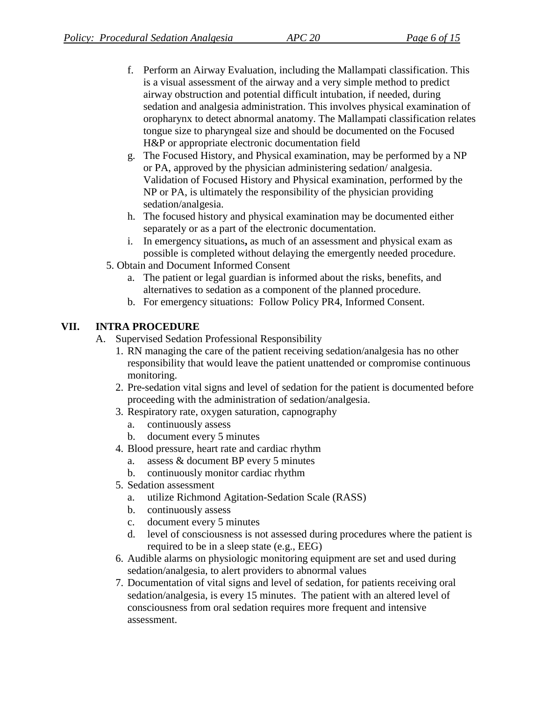- f. Perform an Airway Evaluation, including the Mallampati classification. This is a visual assessment of the airway and a very simple method to predict airway obstruction and potential difficult intubation, if needed, during sedation and analgesia administration. This involves physical examination of oropharynx to detect abnormal anatomy. The Mallampati classification relates tongue size to pharyngeal size and should be documented on the Focused H&P or appropriate electronic documentation field
- g. The Focused History, and Physical examination, may be performed by a NP or PA, approved by the physician administering sedation/ analgesia. Validation of Focused History and Physical examination, performed by the NP or PA, is ultimately the responsibility of the physician providing sedation/analgesia.
- h. The focused history and physical examination may be documented either separately or as a part of the electronic documentation.
- i. In emergency situations**,** as much of an assessment and physical exam as possible is completed without delaying the emergently needed procedure.
- 5. Obtain and Document Informed Consent
	- a. The patient or legal guardian is informed about the risks, benefits, and alternatives to sedation as a component of the planned procedure.
	- b. For emergency situations:Follow Policy PR4, Informed Consent.

#### **VII. INTRA PROCEDURE**

- A. Supervised Sedation Professional Responsibility
	- 1. RN managing the care of the patient receiving sedation/analgesia has no other responsibility that would leave the patient unattended or compromise continuous monitoring.
	- 2. Pre-sedation vital signs and level of sedation for the patient is documented before proceeding with the administration of sedation/analgesia.
	- 3. Respiratory rate, oxygen saturation, capnography
		- a. continuously assess
		- b. document every 5 minutes
	- 4. Blood pressure, heart rate and cardiac rhythm
		- a. assess & document BP every 5 minutes
		- b. continuously monitor cardiac rhythm
	- 5. Sedation assessment
		- a. utilize Richmond Agitation-Sedation Scale (RASS)
		- b. continuously assess
		- c. document every 5 minutes
		- d. level of consciousness is not assessed during procedures where the patient is required to be in a sleep state (e.g., EEG)
	- 6. Audible alarms on physiologic monitoring equipment are set and used during sedation/analgesia, to alert providers to abnormal values
	- 7. Documentation of vital signs and level of sedation, for patients receiving oral sedation/analgesia, is every 15 minutes. The patient with an altered level of consciousness from oral sedation requires more frequent and intensive assessment.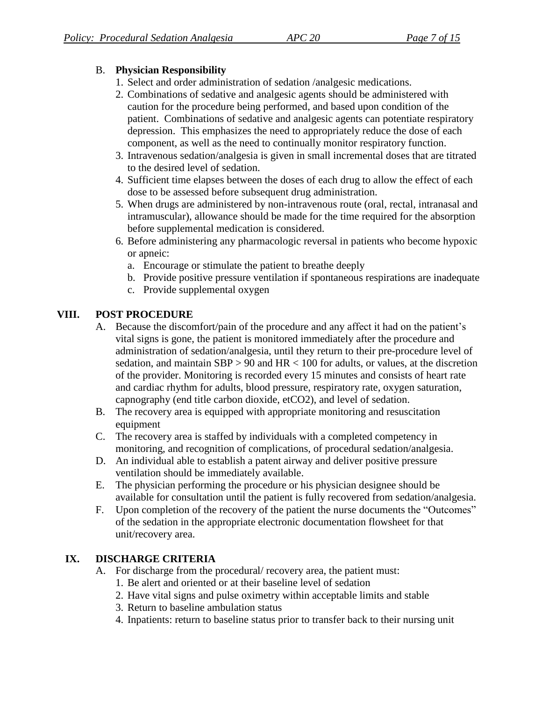### B. **Physician Responsibility**

- 1. Select and order administration of sedation /analgesic medications.
- 2. Combinations of sedative and analgesic agents should be administered with caution for the procedure being performed, and based upon condition of the patient. Combinations of sedative and analgesic agents can potentiate respiratory depression. This emphasizes the need to appropriately reduce the dose of each component, as well as the need to continually monitor respiratory function.
- 3. Intravenous sedation/analgesia is given in small incremental doses that are titrated to the desired level of sedation.
- 4. Sufficient time elapses between the doses of each drug to allow the effect of each dose to be assessed before subsequent drug administration.
- 5. When drugs are administered by non-intravenous route (oral, rectal, intranasal and intramuscular), allowance should be made for the time required for the absorption before supplemental medication is considered.
- 6. Before administering any pharmacologic reversal in patients who become hypoxic or apneic:
	- a. Encourage or stimulate the patient to breathe deeply
	- b. Provide positive pressure ventilation if spontaneous respirations are inadequate
	- c. Provide supplemental oxygen

#### **VIII. POST PROCEDURE**

- A. Because the discomfort/pain of the procedure and any affect it had on the patient's vital signs is gone, the patient is monitored immediately after the procedure and administration of sedation/analgesia, until they return to their pre-procedure level of sedation, and maintain SBP > 90 and HR < 100 for adults, or values, at the discretion of the provider. Monitoring is recorded every 15 minutes and consists of heart rate and cardiac rhythm for adults, blood pressure, respiratory rate, oxygen saturation, capnography (end title carbon dioxide, etCO2), and level of sedation.
- B. The recovery area is equipped with appropriate monitoring and resuscitation equipment
- C. The recovery area is staffed by individuals with a completed competency in monitoring, and recognition of complications, of procedural sedation/analgesia.
- D. An individual able to establish a patent airway and deliver positive pressure ventilation should be immediately available.
- E. The physician performing the procedure or his physician designee should be available for consultation until the patient is fully recovered from sedation/analgesia.
- F. Upon completion of the recovery of the patient the nurse documents the "Outcomes" of the sedation in the appropriate electronic documentation flowsheet for that unit/recovery area.

## **IX. DISCHARGE CRITERIA**

- A. For discharge from the procedural/ recovery area, the patient must:
	- 1. Be alert and oriented or at their baseline level of sedation
	- 2. Have vital signs and pulse oximetry within acceptable limits and stable
	- 3. Return to baseline ambulation status
	- 4. Inpatients: return to baseline status prior to transfer back to their nursing unit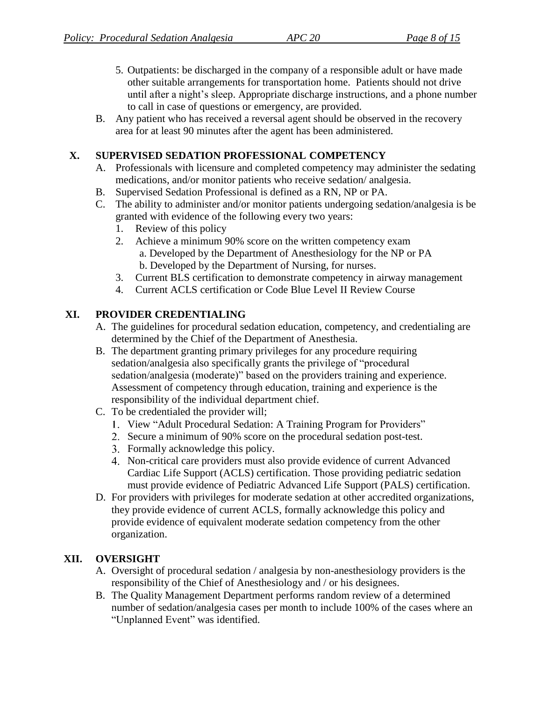- 5. Outpatients: be discharged in the company of a responsible adult or have made other suitable arrangements for transportation home. Patients should not drive until after a night's sleep. Appropriate discharge instructions, and a phone number to call in case of questions or emergency, are provided.
- B. Any patient who has received a reversal agent should be observed in the recovery area for at least 90 minutes after the agent has been administered.

### **X. SUPERVISED SEDATION PROFESSIONAL COMPETENCY**

- A. Professionals with licensure and completed competency may administer the sedating medications, and/or monitor patients who receive sedation/ analgesia.
- B. Supervised Sedation Professional is defined as a RN, NP or PA.
- C. The ability to administer and/or monitor patients undergoing sedation/analgesia is be granted with evidence of the following every two years:
	- 1. Review of this policy
	- 2. Achieve a minimum 90% score on the written competency exam a. Developed by the Department of Anesthesiology for the NP or PA b. Developed by the Department of Nursing, for nurses.
	- 3. Current BLS certification to demonstrate competency in airway management
	- 4. Current ACLS certification or Code Blue Level II Review Course

## **XI. PROVIDER CREDENTIALING**

- A. The guidelines for procedural sedation education, competency, and credentialing are determined by the Chief of the Department of Anesthesia.
- B. The department granting primary privileges for any procedure requiring sedation/analgesia also specifically grants the privilege of "procedural sedation/analgesia (moderate)" based on the providers training and experience. Assessment of competency through education, training and experience is the responsibility of the individual department chief.
- C. To be credentialed the provider will;
	- View "Adult Procedural Sedation: A Training Program for Providers"
	- Secure a minimum of 90% score on the procedural sedation post-test.
	- Formally acknowledge this policy.
	- Non-critical care providers must also provide evidence of current Advanced Cardiac Life Support (ACLS) certification. Those providing pediatric sedation must provide evidence of Pediatric Advanced Life Support (PALS) certification.
- D. For providers with privileges for moderate sedation at other accredited organizations, they provide evidence of current ACLS, formally acknowledge this policy and provide evidence of equivalent moderate sedation competency from the other organization.

## **XII. OVERSIGHT**

- A. Oversight of procedural sedation / analgesia by non-anesthesiology providers is the responsibility of the Chief of Anesthesiology and / or his designees.
- B. The Quality Management Department performs random review of a determined number of sedation/analgesia cases per month to include 100% of the cases where an "Unplanned Event" was identified.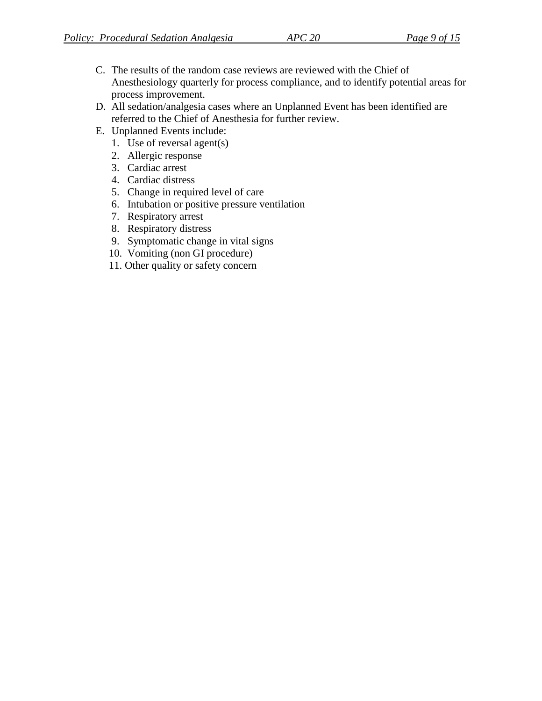- C. The results of the random case reviews are reviewed with the Chief of Anesthesiology quarterly for process compliance, and to identify potential areas for process improvement.
- D. All sedation/analgesia cases where an Unplanned Event has been identified are referred to the Chief of Anesthesia for further review.
- E. Unplanned Events include:
	- 1. Use of reversal agent(s)
	- 2. Allergic response
	- 3. Cardiac arrest
	- 4. Cardiac distress
	- 5. Change in required level of care
	- 6. Intubation or positive pressure ventilation
	- 7. Respiratory arrest
	- 8. Respiratory distress
	- 9. Symptomatic change in vital signs
	- 10. Vomiting (non GI procedure)
	- 11. Other quality or safety concern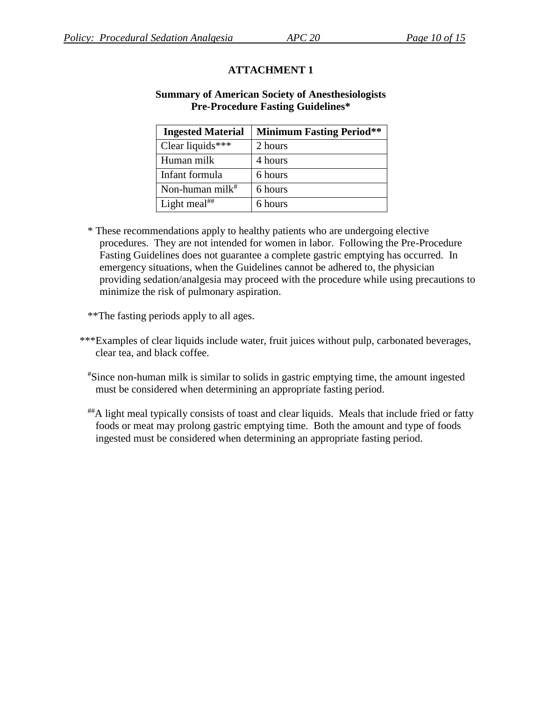#### **Summary of American Society of Anesthesiologists Pre-Procedure Fasting Guidelines\***

| <b>Ingested Material</b> | <b>Minimum Fasting Period**</b> |
|--------------------------|---------------------------------|
| Clear liquids***         | 2 hours                         |
| Human milk               | 4 hours                         |
| Infant formula           | 6 hours                         |
| Non-human milk $^*$      | 6 hours                         |
| Light meal <sup>##</sup> | 6 hours                         |

\* These recommendations apply to healthy patients who are undergoing elective procedures. They are not intended for women in labor. Following the Pre-Procedure Fasting Guidelines does not guarantee a complete gastric emptying has occurred. In emergency situations, when the Guidelines cannot be adhered to, the physician providing sedation/analgesia may proceed with the procedure while using precautions to minimize the risk of pulmonary aspiration.

\*\*The fasting periods apply to all ages.

- \*\*\*Examples of clear liquids include water, fruit juices without pulp, carbonated beverages, clear tea, and black coffee.
	- #Since non-human milk is similar to solids in gastric emptying time, the amount ingested must be considered when determining an appropriate fasting period.
	- ##A light meal typically consists of toast and clear liquids. Meals that include fried or fatty foods or meat may prolong gastric emptying time. Both the amount and type of foods ingested must be considered when determining an appropriate fasting period.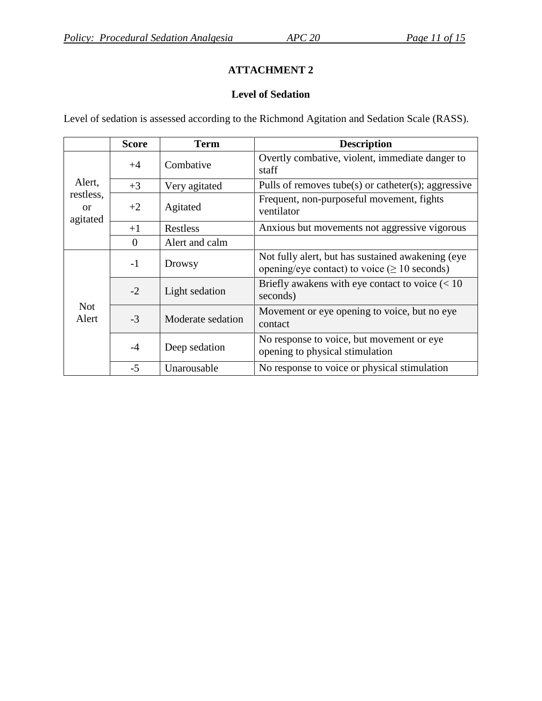## **Level of Sedation**

Level of sedation is assessed according to the Richmond Agitation and Sedation Scale (RASS).

|                                                  | <b>Score</b> | <b>Term</b>       | <b>Description</b>                                                                                      |
|--------------------------------------------------|--------------|-------------------|---------------------------------------------------------------------------------------------------------|
| Alert,<br>restless,<br><sub>or</sub><br>agitated | $+4$         | Combative         | Overtly combative, violent, immediate danger to<br>staff                                                |
|                                                  | $+3$         | Very agitated     | Pulls of removes tube(s) or catheter(s); aggressive                                                     |
|                                                  | $+2$         | Agitated          | Frequent, non-purposeful movement, fights<br>ventilator                                                 |
|                                                  | $+1$         | Restless          | Anxious but movements not aggressive vigorous                                                           |
|                                                  | $\theta$     | Alert and calm    |                                                                                                         |
| <b>Not</b><br>Alert                              | $-1$         | Drowsy            | Not fully alert, but has sustained awakening (eye<br>opening/eye contact) to voice ( $\geq 10$ seconds) |
|                                                  | $-2$         | Light sedation    | Briefly awakens with eye contact to voice $(< 10$<br>seconds)                                           |
|                                                  | $-3$         | Moderate sedation | Movement or eye opening to voice, but no eye<br>contact                                                 |
|                                                  | $-4$         | Deep sedation     | No response to voice, but movement or eye<br>opening to physical stimulation                            |
|                                                  | $-5$         | Unarousable       | No response to voice or physical stimulation                                                            |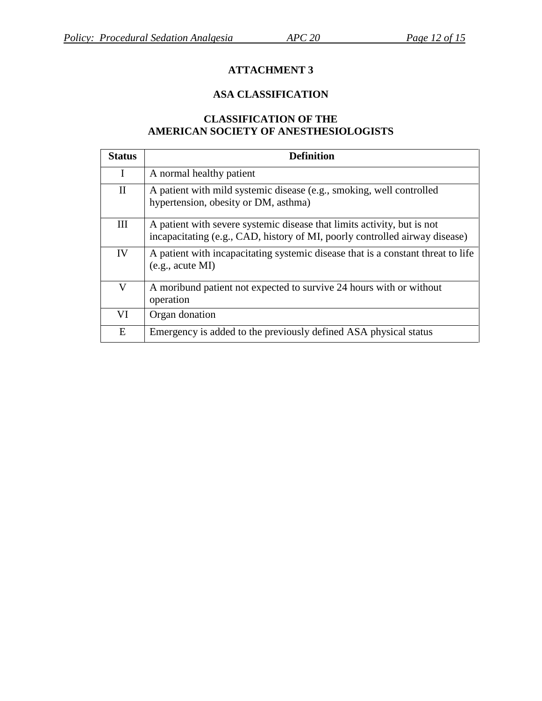### **ASA CLASSIFICATION**

#### **CLASSIFICATION OF THE AMERICAN SOCIETY OF ANESTHESIOLOGISTS**

| <b>Status</b> | <b>Definition</b>                                                                                                                                      |
|---------------|--------------------------------------------------------------------------------------------------------------------------------------------------------|
| I             | A normal healthy patient                                                                                                                               |
| $\rm II$      | A patient with mild systemic disease (e.g., smoking, well controlled<br>hypertension, obesity or DM, asthma)                                           |
| III           | A patient with severe systemic disease that limits activity, but is not<br>incapacitating (e.g., CAD, history of MI, poorly controlled airway disease) |
| IV            | A patient with incapacitating systemic disease that is a constant threat to life<br>(e.g., acute MI)                                                   |
| V             | A moribund patient not expected to survive 24 hours with or without<br>operation                                                                       |
| VI            | Organ donation                                                                                                                                         |
| E             | Emergency is added to the previously defined ASA physical status                                                                                       |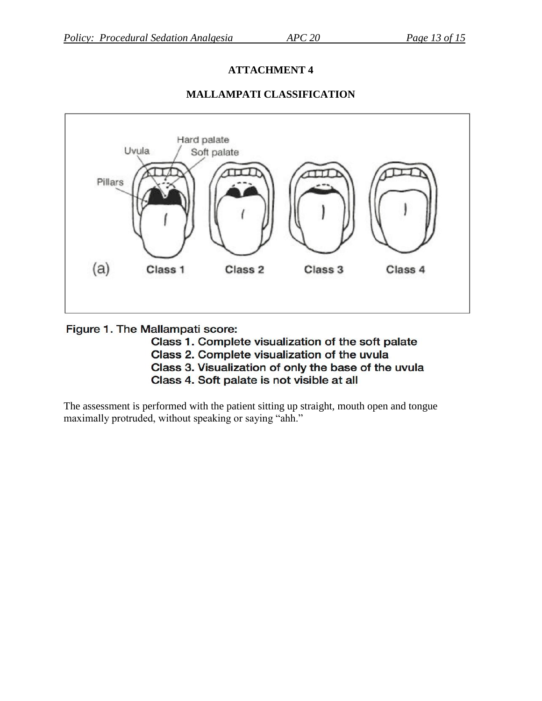

### **MALLAMPATI CLASSIFICATION**

#### Figure 1. The Mallampati score:

- Class 1. Complete visualization of the soft palate
- Class 2. Complete visualization of the uvula
- Class 3. Visualization of only the base of the uvula
- Class 4. Soft palate is not visible at all

The assessment is performed with the patient sitting up straight, mouth open and tongue maximally protruded, without speaking or saying "ahh."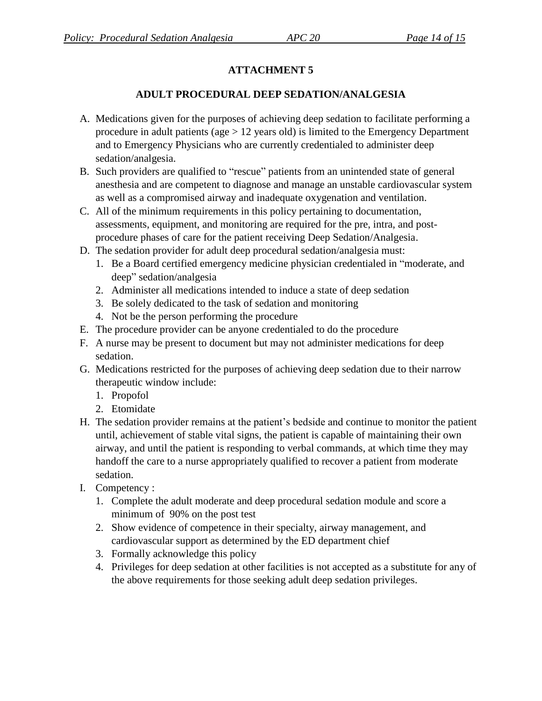## **ADULT PROCEDURAL DEEP SEDATION/ANALGESIA**

- A. Medications given for the purposes of achieving deep sedation to facilitate performing a procedure in adult patients (age  $> 12$  years old) is limited to the Emergency Department and to Emergency Physicians who are currently credentialed to administer deep sedation/analgesia.
- B. Such providers are qualified to "rescue" patients from an unintended state of general anesthesia and are competent to diagnose and manage an unstable cardiovascular system as well as a compromised airway and inadequate oxygenation and ventilation.
- C. All of the minimum requirements in this policy pertaining to documentation, assessments, equipment, and monitoring are required for the pre, intra, and postprocedure phases of care for the patient receiving Deep Sedation/Analgesia.
- D. The sedation provider for adult deep procedural sedation/analgesia must:
	- 1. Be a Board certified emergency medicine physician credentialed in "moderate, and deep" sedation/analgesia
	- 2. Administer all medications intended to induce a state of deep sedation
	- 3. Be solely dedicated to the task of sedation and monitoring
	- 4. Not be the person performing the procedure
- E. The procedure provider can be anyone credentialed to do the procedure
- F. A nurse may be present to document but may not administer medications for deep sedation.
- G. Medications restricted for the purposes of achieving deep sedation due to their narrow therapeutic window include:
	- 1. Propofol
	- 2. Etomidate
- H. The sedation provider remains at the patient's bedside and continue to monitor the patient until, achievement of stable vital signs, the patient is capable of maintaining their own airway, and until the patient is responding to verbal commands, at which time they may handoff the care to a nurse appropriately qualified to recover a patient from moderate sedation.
- I. Competency :
	- 1. Complete the adult moderate and deep procedural sedation module and score a minimum of 90% on the post test
	- 2. Show evidence of competence in their specialty, airway management, and cardiovascular support as determined by the ED department chief
	- 3. Formally acknowledge this policy
	- 4. Privileges for deep sedation at other facilities is not accepted as a substitute for any of the above requirements for those seeking adult deep sedation privileges.